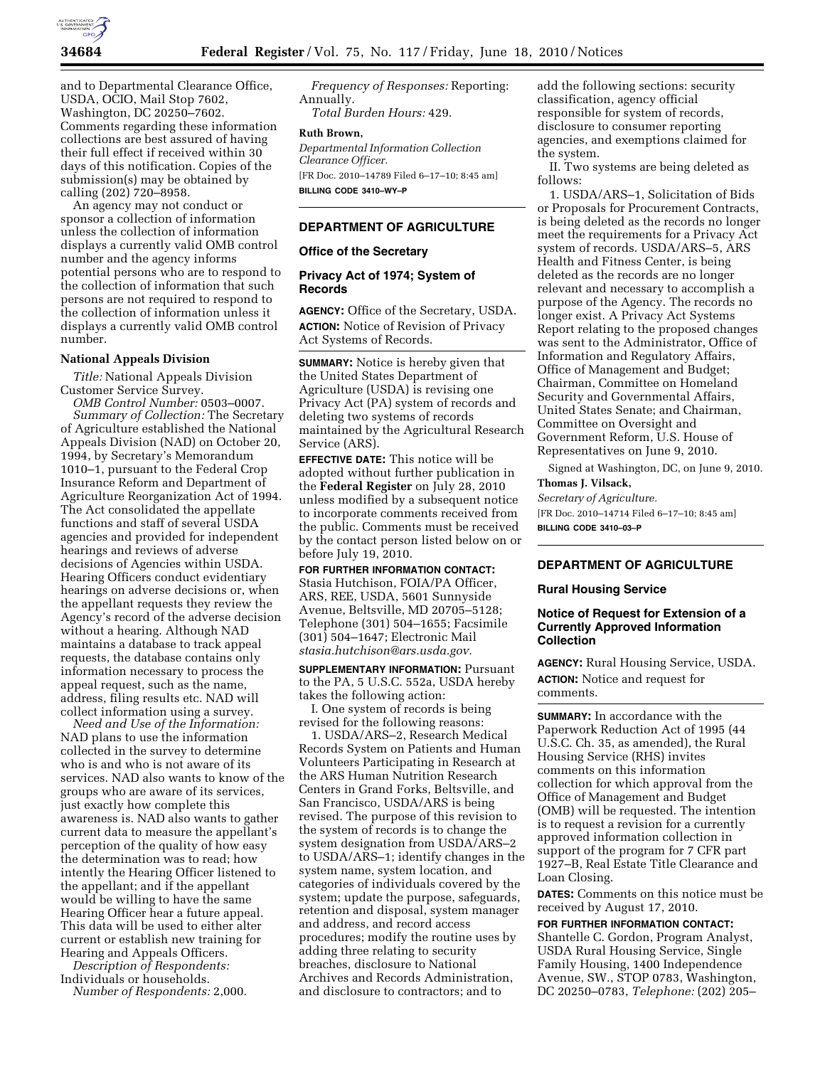

and to Departmental Clearance Office, USDA, OCIO, Mail Stop 7602, Washington, DC 20250–7602. Comments regarding these information collections are best assured of having their full effect if received within 30 days of this notification. Copies of the submission(s) may be obtained by calling (202) 720–8958.

An agency may not conduct or sponsor a collection of information unless the collection of information displays a currently valid OMB control number and the agency informs potential persons who are to respond to the collection of information that such persons are not required to respond to the collection of information unless it displays a currently valid OMB control number.

### **National Appeals Division**

*Title:* National Appeals Division Customer Service Survey.

*OMB Control Number:* 0503–0007. *Summary of Collection:* The Secretary of Agriculture established the National Appeals Division (NAD) on October 20, 1994, by Secretary's Memorandum 1010–1, pursuant to the Federal Crop Insurance Reform and Department of Agriculture Reorganization Act of 1994. The Act consolidated the appellate functions and staff of several USDA agencies and provided for independent hearings and reviews of adverse decisions of Agencies within USDA. Hearing Officers conduct evidentiary hearings on adverse decisions or, when the appellant requests they review the Agency's record of the adverse decision without a hearing. Although NAD maintains a database to track appeal requests, the database contains only information necessary to process the appeal request, such as the name, address, filing results etc. NAD will collect information using a survey.

*Need and Use of the Information:*  NAD plans to use the information collected in the survey to determine who is and who is not aware of its services. NAD also wants to know of the groups who are aware of its services, just exactly how complete this awareness is. NAD also wants to gather current data to measure the appellant's perception of the quality of how easy the determination was to read; how intently the Hearing Officer listened to the appellant; and if the appellant would be willing to have the same Hearing Officer hear a future appeal. This data will be used to either alter current or establish new training for Hearing and Appeals Officers.

*Description of Respondents:*  Individuals or households.

*Number of Respondents:* 2,000.

*Frequency of Responses:* Reporting: Annually. *Total Burden Hours:* 429.

#### **Ruth Brown,**

*Departmental Information Collection Clearance Officer.*  [FR Doc. 2010–14789 Filed 6–17–10; 8:45 am] **BILLING CODE 3410–WY–P** 

### **DEPARTMENT OF AGRICULTURE**

### **Office of the Secretary**

## **Privacy Act of 1974; System of Records**

**AGENCY:** Office of the Secretary, USDA. **ACTION:** Notice of Revision of Privacy Act Systems of Records.

**SUMMARY:** Notice is hereby given that the United States Department of Agriculture (USDA) is revising one Privacy Act (PA) system of records and deleting two systems of records maintained by the Agricultural Research Service (ARS).

**EFFECTIVE DATE:** This notice will be adopted without further publication in the **Federal Register** on July 28, 2010 unless modified by a subsequent notice to incorporate comments received from the public. Comments must be received by the contact person listed below on or before July 19, 2010.

**FOR FURTHER INFORMATION CONTACT:**  Stasia Hutchison, FOIA/PA Officer, ARS, REE, USDA, 5601 Sunnyside Avenue, Beltsville, MD 20705–5128; Telephone (301) 504–1655; Facsimile (301) 504–1647; Electronic Mail *stasia.hutchison@ars.usda.gov.* 

**SUPPLEMENTARY INFORMATION:** Pursuant to the PA, 5 U.S.C. 552a, USDA hereby takes the following action:

I. One system of records is being revised for the following reasons:

1. USDA/ARS–2, Research Medical Records System on Patients and Human Volunteers Participating in Research at the ARS Human Nutrition Research Centers in Grand Forks, Beltsville, and San Francisco, USDA/ARS is being revised. The purpose of this revision to the system of records is to change the system designation from USDA/ARS–2 to USDA/ARS–1; identify changes in the system name, system location, and categories of individuals covered by the system; update the purpose, safeguards, retention and disposal, system manager and address, and record access procedures; modify the routine uses by adding three relating to security breaches, disclosure to National Archives and Records Administration, and disclosure to contractors; and to

add the following sections: security classification, agency official responsible for system of records, disclosure to consumer reporting agencies, and exemptions claimed for the system.

II. Two systems are being deleted as follows:

1. USDA/ARS–1, Solicitation of Bids or Proposals for Procurement Contracts, is being deleted as the records no longer meet the requirements for a Privacy Act system of records. USDA/ARS–5, ARS Health and Fitness Center, is being deleted as the records are no longer relevant and necessary to accomplish a purpose of the Agency. The records no longer exist. A Privacy Act Systems Report relating to the proposed changes was sent to the Administrator, Office of Information and Regulatory Affairs, Office of Management and Budget; Chairman, Committee on Homeland Security and Governmental Affairs, United States Senate; and Chairman, Committee on Oversight and Government Reform, U.S. House of Representatives on June 9, 2010.

Signed at Washington, DC, on June 9, 2010. **Thomas J. Vilsack,** 

# *Secretary of Agriculture.*

[FR Doc. 2010–14714 Filed 6–17–10; 8:45 am] **BILLING CODE 3410–03–P** 

## **DEPARTMENT OF AGRICULTURE**

#### **Rural Housing Service**

#### **Notice of Request for Extension of a Currently Approved Information Collection**

**AGENCY:** Rural Housing Service, USDA. **ACTION:** Notice and request for comments.

**SUMMARY:** In accordance with the Paperwork Reduction Act of 1995 (44 U.S.C. Ch. 35, as amended), the Rural Housing Service (RHS) invites comments on this information collection for which approval from the Office of Management and Budget (OMB) will be requested. The intention is to request a revision for a currently approved information collection in support of the program for 7 CFR part 1927–B, Real Estate Title Clearance and Loan Closing.

**DATES:** Comments on this notice must be received by August 17, 2010.

**FOR FURTHER INFORMATION CONTACT:**  Shantelle C. Gordon, Program Analyst, USDA Rural Housing Service, Single Family Housing, 1400 Independence Avenue, SW., STOP 0783, Washington, DC 20250–0783, *Telephone:* (202) 205–